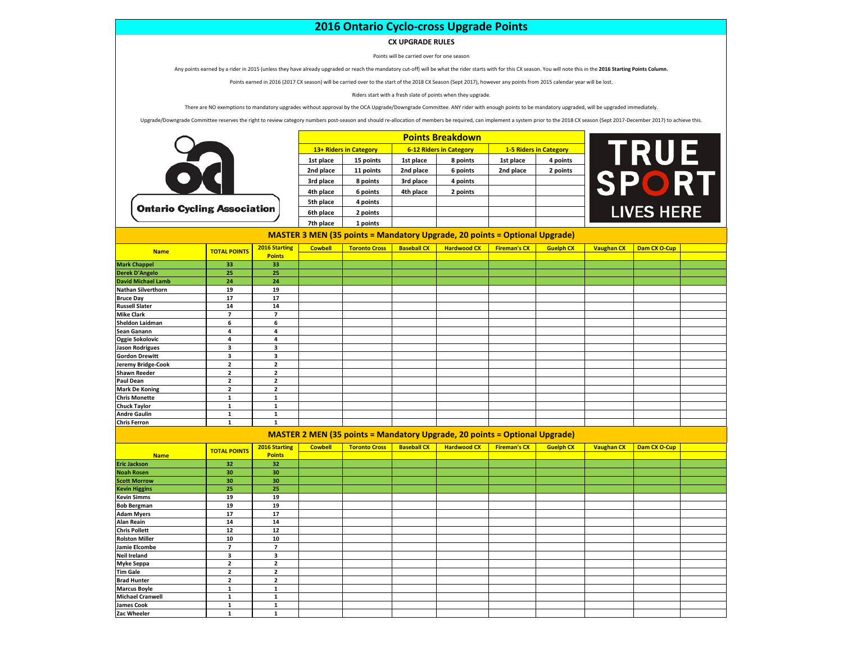## **2016 Ontario Cyclo-cross Upgrade Points**

## **CX UPGRADE RULES**

Points will be carried over for one season

Any points earned by a rider in 2015 (unless they have already upgraded or reach the mandatory cut-off) will be what the rider starts with for this CX season. You will note this in the **2016 Starting Points Column.**

Points earned in 2016 (2017 CX season) will be carried over to the start of the 2018 CX Season (Sept 2017), however any points from 2015 calendar year will be lost.

Riders start with a fresh slate of points when they upgrade.

There are NO exemptions to mandatory upgrades without approval by the OCA Upgrade/Downgrade Committee. ANY rider with enough points to be mandatory upgraded, will be upgraded immediately.

Upgrade/Downgrade Committee reserves the right to review category numbers post-season and should re-allocation of members be required, can implement a system prior to the 2018 CX season (Sept 2017-December 2017) to achieve

|          | <b>Points Breakdown</b> |                        |           |                                |                               |          |  |  |  |  |
|----------|-------------------------|------------------------|-----------|--------------------------------|-------------------------------|----------|--|--|--|--|
|          |                         | 13+ Riders in Category |           | <b>6-12 Riders in Category</b> | <b>1-5 Riders in Category</b> |          |  |  |  |  |
|          | 1st place               | 15 points              | 1st place | 8 points                       | 1st place                     | 4 points |  |  |  |  |
|          | 2nd place               | 11 points              | 2nd place | 6 points                       | 2nd place                     | 2 points |  |  |  |  |
|          | 3rd place               | 8 points               | 3rd place | 4 points                       |                               |          |  |  |  |  |
|          | 4th place               | 6 points               | 4th place | 2 points                       |                               |          |  |  |  |  |
|          | 5th place               | 4 points               |           |                                |                               |          |  |  |  |  |
| ociation | 6th place               | 2 points               |           |                                |                               |          |  |  |  |  |
|          | 7th place               | 1 points               |           |                                |                               |          |  |  |  |  |



**MASTER 3 MEN (35 points = Mandatory Upgrade, 20 points = Optional Upgrade)**

| <b>Name</b>               | <b>TOTAL POINTS</b>     | 2016 Starting<br><b>Points</b> | <b>Cowbell</b> | <b>Toronto Cross</b> | <b>Baseball CX</b> | <b>Hardwood CX</b>                                                                | <b>Fireman's CX</b> | <b>Guelph CX</b> | <b>Vaughan CX</b> | Dam CX O-Cup |  |
|---------------------------|-------------------------|--------------------------------|----------------|----------------------|--------------------|-----------------------------------------------------------------------------------|---------------------|------------------|-------------------|--------------|--|
|                           |                         |                                |                |                      |                    |                                                                                   |                     |                  |                   |              |  |
| <b>Mark Chappel</b>       | 33                      | 33                             |                |                      |                    |                                                                                   |                     |                  |                   |              |  |
| <b>Derek D'Angelo</b>     | 25                      | 25                             |                |                      |                    |                                                                                   |                     |                  |                   |              |  |
| <b>David Michael Lamb</b> | 24                      | 24                             |                |                      |                    |                                                                                   |                     |                  |                   |              |  |
| <b>Nathan Silverthorn</b> | 19                      | 19                             |                |                      |                    |                                                                                   |                     |                  |                   |              |  |
| <b>Bruce Day</b>          | 17                      | 17                             |                |                      |                    |                                                                                   |                     |                  |                   |              |  |
| <b>Russell Slater</b>     | 14                      | 14                             |                |                      |                    |                                                                                   |                     |                  |                   |              |  |
| <b>Mike Clark</b>         | $\overline{7}$          | $\overline{7}$                 |                |                      |                    |                                                                                   |                     |                  |                   |              |  |
| Sheldon Laidman           | 6                       | 6                              |                |                      |                    |                                                                                   |                     |                  |                   |              |  |
| Sean Ganann               | 4                       | 4                              |                |                      |                    |                                                                                   |                     |                  |                   |              |  |
| Oggie Sokolovic           | 4                       | 4                              |                |                      |                    |                                                                                   |                     |                  |                   |              |  |
| <b>Jason Rodrigues</b>    | $\overline{\mathbf{3}}$ | 3                              |                |                      |                    |                                                                                   |                     |                  |                   |              |  |
| <b>Gordon Drewitt</b>     | $\overline{\mathbf{3}}$ | 3                              |                |                      |                    |                                                                                   |                     |                  |                   |              |  |
| Jeremy Bridge-Cook        | $\overline{2}$          | $\overline{\mathbf{2}}$        |                |                      |                    |                                                                                   |                     |                  |                   |              |  |
| <b>Shawn Reeder</b>       | $\overline{2}$          | $\mathbf 2$                    |                |                      |                    |                                                                                   |                     |                  |                   |              |  |
| <b>Paul Dean</b>          | $\overline{2}$          | $\overline{\mathbf{2}}$        |                |                      |                    |                                                                                   |                     |                  |                   |              |  |
| <b>Mark De Koning</b>     | $\overline{2}$          | $\overline{\mathbf{2}}$        |                |                      |                    |                                                                                   |                     |                  |                   |              |  |
| <b>Chris Monette</b>      | $\mathbf{1}$            | $\mathbf{1}$                   |                |                      |                    |                                                                                   |                     |                  |                   |              |  |
| <b>Chuck Taylor</b>       | $\mathbf{1}$            | $\mathbf{1}$                   |                |                      |                    |                                                                                   |                     |                  |                   |              |  |
| <b>Andre Gaulin</b>       | $\mathbf{1}$            | $\mathbf{1}$                   |                |                      |                    |                                                                                   |                     |                  |                   |              |  |
| <b>Chris Ferron</b>       | $\mathbf{1}$            | $\mathbf{1}$                   |                |                      |                    |                                                                                   |                     |                  |                   |              |  |
|                           |                         |                                |                |                      |                    | <b>MASTER 2 MEN (35 points = Mandatory Upgrade, 20 points = Optional Upgrade)</b> |                     |                  |                   |              |  |
|                           | <b>TOTAL POINTS</b>     | 2016 Starting                  | <b>Cowbell</b> | <b>Toronto Cross</b> | <b>Baseball CX</b> | <b>Hardwood CX</b>                                                                | <b>Fireman's CX</b> | <b>Guelph CX</b> | <b>Vaughan CX</b> | Dam CX O-Cup |  |
| <b>Name</b>               |                         | <b>Points</b>                  |                |                      |                    |                                                                                   |                     |                  |                   |              |  |
| <b>Eric Jackson</b>       | 32                      | 32                             |                |                      |                    |                                                                                   |                     |                  |                   |              |  |
| <b>Noah Rosen</b>         | 30                      | 30                             |                |                      |                    |                                                                                   |                     |                  |                   |              |  |
| <b>Scott Morrow</b>       | 30                      | 30                             |                |                      |                    |                                                                                   |                     |                  |                   |              |  |
| <b>Kevin Higgins</b>      | 25                      | 25                             |                |                      |                    |                                                                                   |                     |                  |                   |              |  |
| <b>Kevin Simms</b>        | 19                      | 19                             |                |                      |                    |                                                                                   |                     |                  |                   |              |  |
| <b>Bob Bergman</b>        | 19                      | 19                             |                |                      |                    |                                                                                   |                     |                  |                   |              |  |
| <b>Adam Myers</b>         | 17                      | 17                             |                |                      |                    |                                                                                   |                     |                  |                   |              |  |
| <b>Alan Reain</b>         | 14                      | 14                             |                |                      |                    |                                                                                   |                     |                  |                   |              |  |
| <b>Chris Pollett</b>      | 12                      | 12                             |                |                      |                    |                                                                                   |                     |                  |                   |              |  |
| <b>Rolston Miller</b>     | 10                      | 10                             |                |                      |                    |                                                                                   |                     |                  |                   |              |  |
| <b>Jamie Elcombe</b>      | $\overline{7}$          | $\overline{7}$                 |                |                      |                    |                                                                                   |                     |                  |                   |              |  |
| <b>Neil Ireland</b>       | $\overline{\mathbf{3}}$ | 3                              |                |                      |                    |                                                                                   |                     |                  |                   |              |  |
| <b>Myke Seppa</b>         | $\overline{2}$          | $\overline{\mathbf{2}}$        |                |                      |                    |                                                                                   |                     |                  |                   |              |  |
| <b>Tim Gale</b>           | $\overline{2}$          | $\overline{2}$                 |                |                      |                    |                                                                                   |                     |                  |                   |              |  |

**Tim Gale 2 2**<br>**Brad Hunter 2 2 2 Brad Hunter 2 2**

**Ontario Cycling Ass** 

**Michael Cranwell 1 1 James Cook 1 1 Zac Wheeler 1 1**

**Marcus Boyle**